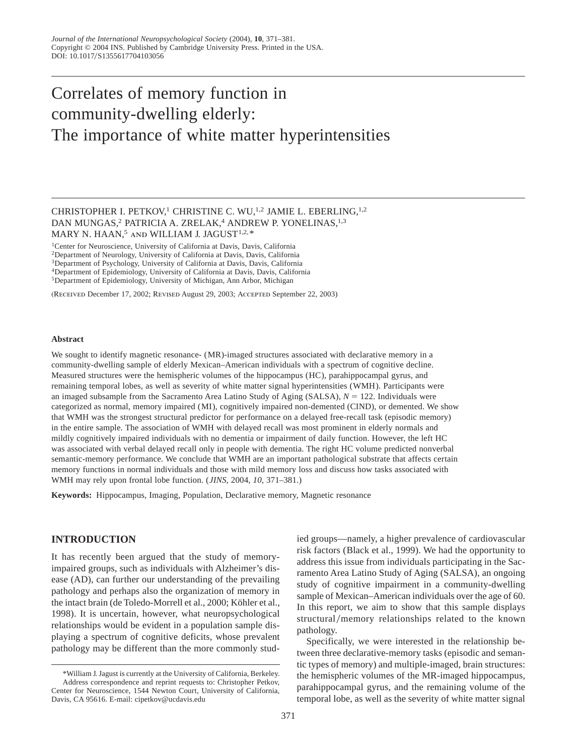# Correlates of memory function in community-dwelling elderly: The importance of white matter hyperintensities

CHRISTOPHER I. PETKOV,<sup>1</sup> CHRISTINE C. WU,<sup>1,2</sup> JAMIE L. EBERLING,<sup>1,2</sup> DAN MUNGAS,<sup>2</sup> PATRICIA A. ZRELAK,<sup>4</sup> ANDREW P. YONELINAS,<sup>1,3</sup> MARY N. HAAN,<sup>5</sup> AND WILLIAM J. JAGUST<sup>1,2,\*</sup>

1Center for Neuroscience, University of California at Davis, Davis, California

2Department of Neurology, University of California at Davis, Davis, California

3Department of Psychology, University of California at Davis, Davis, California

4Department of Epidemiology, University of California at Davis, Davis, California

5Department of Epidemiology, University of Michigan, Ann Arbor, Michigan

(Received December 17, 2002; Revised August 29, 2003; Accepted September 22, 2003)

#### **Abstract**

We sought to identify magnetic resonance- (MR)-imaged structures associated with declarative memory in a community-dwelling sample of elderly Mexican–American individuals with a spectrum of cognitive decline. Measured structures were the hemispheric volumes of the hippocampus (HC), parahippocampal gyrus, and remaining temporal lobes, as well as severity of white matter signal hyperintensities (WMH). Participants were an imaged subsample from the Sacramento Area Latino Study of Aging (SALSA),  $N = 122$ . Individuals were categorized as normal, memory impaired (MI), cognitively impaired non-demented (CIND), or demented. We show that WMH was the strongest structural predictor for performance on a delayed free-recall task (episodic memory) in the entire sample. The association of WMH with delayed recall was most prominent in elderly normals and mildly cognitively impaired individuals with no dementia or impairment of daily function. However, the left HC was associated with verbal delayed recall only in people with dementia. The right HC volume predicted nonverbal semantic-memory performance. We conclude that WMH are an important pathological substrate that affects certain memory functions in normal individuals and those with mild memory loss and discuss how tasks associated with WMH may rely upon frontal lobe function. (*JINS*, 2004, *10*, 371–381.)

**Keywords:** Hippocampus, Imaging, Population, Declarative memory, Magnetic resonance

# **INTRODUCTION**

It has recently been argued that the study of memoryimpaired groups, such as individuals with Alzheimer's disease (AD), can further our understanding of the prevailing pathology and perhaps also the organization of memory in the intact brain (de Toledo-Morrell et al., 2000; Köhler et al., 1998). It is uncertain, however, what neuropsychological relationships would be evident in a population sample displaying a spectrum of cognitive deficits, whose prevalent pathology may be different than the more commonly studied groups—namely, a higher prevalence of cardiovascular risk factors (Black et al., 1999). We had the opportunity to address this issue from individuals participating in the Sacramento Area Latino Study of Aging (SALSA), an ongoing study of cognitive impairment in a community-dwelling sample of Mexican–American individuals over the age of 60. In this report, we aim to show that this sample displays structural/memory relationships related to the known pathology.

Specifically, we were interested in the relationship between three declarative-memory tasks (episodic and semantic types of memory) and multiple-imaged, brain structures: the hemispheric volumes of the MR-imaged hippocampus, parahippocampal gyrus, and the remaining volume of the temporal lobe, as well as the severity of white matter signal

<sup>\*</sup>William J. Jagust is currently at the University of California, Berkeley. Address correspondence and reprint requests to: Christopher Petkov, Center for Neuroscience, 1544 Newton Court, University of California, Davis, CA 95616. E-mail: cipetkov@ucdavis.edu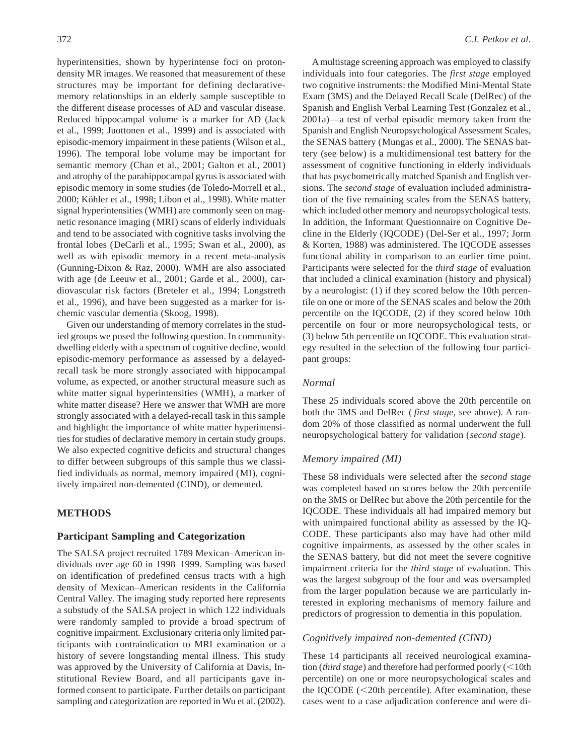hyperintensities, shown by hyperintense foci on protondensity MR images. We reasoned that measurement of these structures may be important for defining declarativememory relationships in an elderly sample susceptible to the different disease processes of AD and vascular disease. Reduced hippocampal volume is a marker for AD (Jack et al., 1999; Juottonen et al., 1999) and is associated with episodic-memory impairment in these patients (Wilson et al., 1996). The temporal lobe volume may be important for semantic memory (Chan et al., 2001; Galton et al., 2001) and atrophy of the parahippocampal gyrus is associated with episodic memory in some studies (de Toledo-Morrell et al., 2000; Köhler et al., 1998; Libon et al., 1998). White matter signal hyperintensities (WMH) are commonly seen on magnetic resonance imaging (MRI) scans of elderly individuals and tend to be associated with cognitive tasks involving the frontal lobes (DeCarli et al., 1995; Swan et al., 2000), as well as with episodic memory in a recent meta-analysis (Gunning-Dixon & Raz, 2000). WMH are also associated with age (de Leeuw et al., 2001; Garde et al., 2000), cardiovascular risk factors (Breteler et al., 1994; Longstreth et al., 1996), and have been suggested as a marker for ischemic vascular dementia (Skoog, 1998).

Given our understanding of memory correlates in the studied groups we posed the following question. In communitydwelling elderly with a spectrum of cognitive decline, would episodic-memory performance as assessed by a delayedrecall task be more strongly associated with hippocampal volume, as expected, or another structural measure such as white matter signal hyperintensities (WMH), a marker of white matter disease? Here we answer that WMH are more strongly associated with a delayed-recall task in this sample and highlight the importance of white matter hyperintensities for studies of declarative memory in certain study groups. We also expected cognitive deficits and structural changes to differ between subgroups of this sample thus we classified individuals as normal, memory impaired (MI), cognitively impaired non-demented (CIND), or demented.

# **METHODS**

# **Participant Sampling and Categorization**

The SALSA project recruited 1789 Mexican–American individuals over age 60 in 1998–1999. Sampling was based on identification of predefined census tracts with a high density of Mexican–American residents in the California Central Valley. The imaging study reported here represents a substudy of the SALSA project in which 122 individuals were randomly sampled to provide a broad spectrum of cognitive impairment. Exclusionary criteria only limited participants with contraindication to MRI examination or a history of severe longstanding mental illness. This study was approved by the University of California at Davis, Institutional Review Board, and all participants gave informed consent to participate. Further details on participant sampling and categorization are reported in Wu et al. (2002).

A multistage screening approach was employed to classify individuals into four categories. The *first stage* employed two cognitive instruments: the Modified Mini-Mental State Exam (3MS) and the Delayed Recall Scale (DelRec) of the Spanish and English Verbal Learning Test (Gonzalez et al., 2001a)—a test of verbal episodic memory taken from the Spanish and English Neuropsychological Assessment Scales, the SENAS battery (Mungas et al., 2000). The SENAS battery (see below) is a multidimensional test battery for the assessment of cognitive functioning in elderly individuals that has psychometrically matched Spanish and English versions. The *second stage* of evaluation included administration of the five remaining scales from the SENAS battery, which included other memory and neuropsychological tests. In addition, the Informant Questionnaire on Cognitive Decline in the Elderly (IQCODE) (Del-Ser et al., 1997; Jorm & Korten, 1988) was administered. The IQCODE assesses functional ability in comparison to an earlier time point. Participants were selected for the *third stage* of evaluation that included a clinical examination (history and physical) by a neurologist: (1) if they scored below the 10th percentile on one or more of the SENAS scales and below the 20th percentile on the IQCODE, (2) if they scored below 10th percentile on four or more neuropsychological tests, or (3) below 5th percentile on IQCODE. This evaluation strategy resulted in the selection of the following four participant groups:

#### *Normal*

These 25 individuals scored above the 20th percentile on both the 3MS and DelRec ( *first stage*, see above). A random 20% of those classified as normal underwent the full neuropsychological battery for validation (*second stage*).

## *Memory impaired (MI)*

These 58 individuals were selected after the *second stage* was completed based on scores below the 20th percentile on the 3MS or DelRec but above the 20th percentile for the IQCODE. These individuals all had impaired memory but with unimpaired functional ability as assessed by the IQ-CODE. These participants also may have had other mild cognitive impairments, as assessed by the other scales in the SENAS battery, but did not meet the severe cognitive impairment criteria for the *third stage* of evaluation. This was the largest subgroup of the four and was oversampled from the larger population because we are particularly interested in exploring mechanisms of memory failure and predictors of progression to dementia in this population.

#### *Cognitively impaired non-demented (CIND)*

These 14 participants all received neurological examination (*third stage*) and therefore had performed poorly (<10th percentile) on one or more neuropsychological scales and the IQCODE  $\leq$ 20th percentile). After examination, these cases went to a case adjudication conference and were di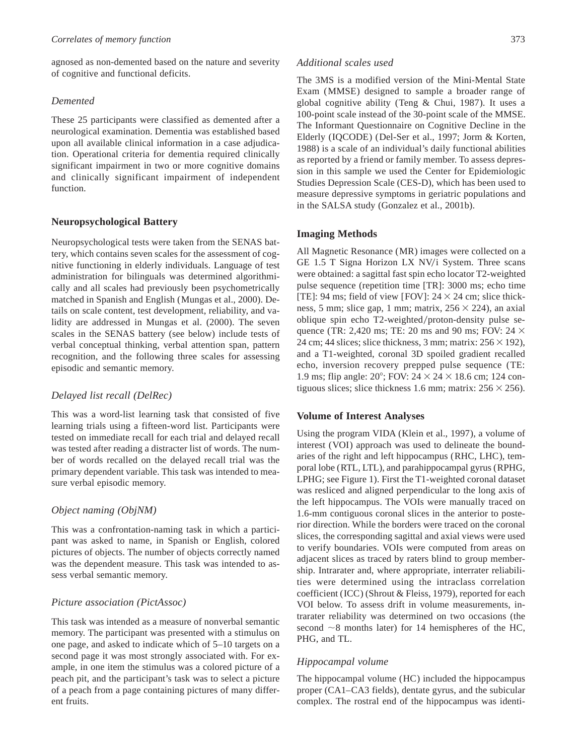agnosed as non-demented based on the nature and severity of cognitive and functional deficits.

# *Demented*

These 25 participants were classified as demented after a neurological examination. Dementia was established based upon all available clinical information in a case adjudication. Operational criteria for dementia required clinically significant impairment in two or more cognitive domains and clinically significant impairment of independent function.

# **Neuropsychological Battery**

Neuropsychological tests were taken from the SENAS battery, which contains seven scales for the assessment of cognitive functioning in elderly individuals. Language of test administration for bilinguals was determined algorithmically and all scales had previously been psychometrically matched in Spanish and English (Mungas et al., 2000). Details on scale content, test development, reliability, and validity are addressed in Mungas et al. (2000). The seven scales in the SENAS battery (see below) include tests of verbal conceptual thinking, verbal attention span, pattern recognition, and the following three scales for assessing episodic and semantic memory.

## *Delayed list recall (DelRec)*

This was a word-list learning task that consisted of five learning trials using a fifteen-word list. Participants were tested on immediate recall for each trial and delayed recall was tested after reading a distracter list of words. The number of words recalled on the delayed recall trial was the primary dependent variable. This task was intended to measure verbal episodic memory.

## *Object naming (ObjNM)*

This was a confrontation-naming task in which a participant was asked to name, in Spanish or English, colored pictures of objects. The number of objects correctly named was the dependent measure. This task was intended to assess verbal semantic memory.

## *Picture association (PictAssoc)*

This task was intended as a measure of nonverbal semantic memory. The participant was presented with a stimulus on one page, and asked to indicate which of 5–10 targets on a second page it was most strongly associated with. For example, in one item the stimulus was a colored picture of a peach pit, and the participant's task was to select a picture of a peach from a page containing pictures of many different fruits.

# *Additional scales used*

The 3MS is a modified version of the Mini-Mental State Exam (MMSE) designed to sample a broader range of global cognitive ability (Teng & Chui, 1987). It uses a 100-point scale instead of the 30-point scale of the MMSE. The Informant Questionnaire on Cognitive Decline in the Elderly (IQCODE) (Del-Ser et al., 1997; Jorm & Korten, 1988) is a scale of an individual's daily functional abilities as reported by a friend or family member. To assess depression in this sample we used the Center for Epidemiologic Studies Depression Scale (CES-D), which has been used to measure depressive symptoms in geriatric populations and in the SALSA study (Gonzalez et al., 2001b).

## **Imaging Methods**

All Magnetic Resonance (MR) images were collected on a GE 1.5 T Signa Horizon LX NV/i System. Three scans were obtained: a sagittal fast spin echo locator T2-weighted pulse sequence (repetition time [TR]: 3000 ms; echo time [TE]: 94 ms; field of view [FOV]:  $24 \times 24$  cm; slice thickness, 5 mm; slice gap, 1 mm; matrix,  $256 \times 224$ ), an axial oblique spin echo T2-weighted/proton-density pulse sequence (TR: 2,420 ms; TE: 20 ms and 90 ms; FOV: 24  $\times$ 24 cm; 44 slices; slice thickness, 3 mm; matrix:  $256 \times 192$ ), and a T1-weighted, coronal 3D spoiled gradient recalled echo, inversion recovery prepped pulse sequence (TE: 1.9 ms; flip angle:  $20^\circ$ ; FOV:  $24 \times 24 \times 18.6$  cm; 124 contiguous slices; slice thickness 1.6 mm; matrix:  $256 \times 256$ ).

## **Volume of Interest Analyses**

Using the program VIDA (Klein et al., 1997), a volume of interest (VOI) approach was used to delineate the boundaries of the right and left hippocampus (RHC, LHC), temporal lobe (RTL, LTL), and parahippocampal gyrus (RPHG, LPHG; see Figure 1). First the T1-weighted coronal dataset was resliced and aligned perpendicular to the long axis of the left hippocampus. The VOIs were manually traced on 1.6-mm contiguous coronal slices in the anterior to posterior direction. While the borders were traced on the coronal slices, the corresponding sagittal and axial views were used to verify boundaries. VOIs were computed from areas on adjacent slices as traced by raters blind to group membership. Intrarater and, where appropriate, interrater reliabilities were determined using the intraclass correlation coefficient (ICC) (Shrout & Fleiss, 1979), reported for each VOI below. To assess drift in volume measurements, intrarater reliability was determined on two occasions (the second  $\sim$ 8 months later) for 14 hemispheres of the HC, PHG, and TL.

## *Hippocampal volume*

The hippocampal volume (HC) included the hippocampus proper (CA1–CA3 fields), dentate gyrus, and the subicular complex. The rostral end of the hippocampus was identi-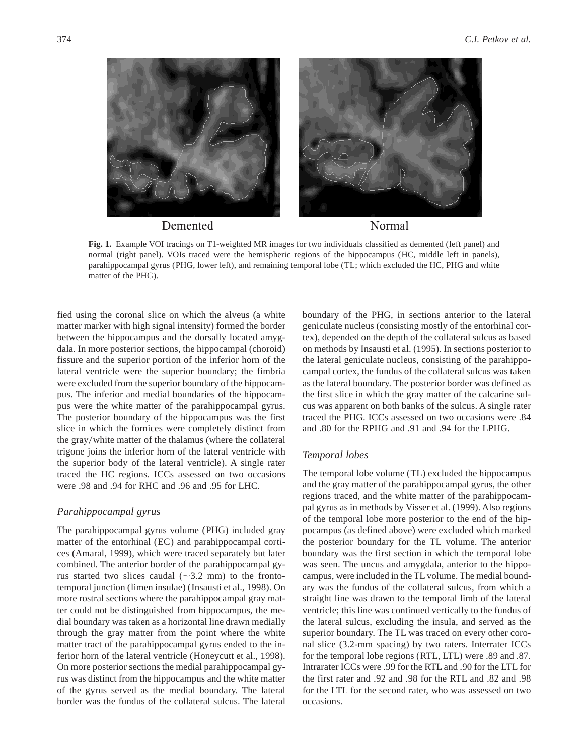

**Fig. 1.** Example VOI tracings on T1-weighted MR images for two individuals classified as demented (left panel) and normal (right panel). VOIs traced were the hemispheric regions of the hippocampus (HC, middle left in panels), parahippocampal gyrus (PHG, lower left), and remaining temporal lobe (TL; which excluded the HC, PHG and white matter of the PHG).

fied using the coronal slice on which the alveus (a white matter marker with high signal intensity) formed the border between the hippocampus and the dorsally located amygdala. In more posterior sections, the hippocampal (choroid) fissure and the superior portion of the inferior horn of the lateral ventricle were the superior boundary; the fimbria were excluded from the superior boundary of the hippocampus. The inferior and medial boundaries of the hippocampus were the white matter of the parahippocampal gyrus. The posterior boundary of the hippocampus was the first slice in which the fornices were completely distinct from the gray/white matter of the thalamus (where the collateral trigone joins the inferior horn of the lateral ventricle with the superior body of the lateral ventricle). A single rater traced the HC regions. ICCs assessed on two occasions were .98 and .94 for RHC and .96 and .95 for LHC.

# *Parahippocampal gyrus*

The parahippocampal gyrus volume (PHG) included gray matter of the entorhinal (EC) and parahippocampal cortices (Amaral, 1999), which were traced separately but later combined. The anterior border of the parahippocampal gyrus started two slices caudal ( $\sim$ 3.2 mm) to the frontotemporal junction (limen insulae) (Insausti et al., 1998). On more rostral sections where the parahippocampal gray matter could not be distinguished from hippocampus, the medial boundary was taken as a horizontal line drawn medially through the gray matter from the point where the white matter tract of the parahippocampal gyrus ended to the inferior horn of the lateral ventricle (Honeycutt et al., 1998). On more posterior sections the medial parahippocampal gyrus was distinct from the hippocampus and the white matter of the gyrus served as the medial boundary. The lateral border was the fundus of the collateral sulcus. The lateral

boundary of the PHG, in sections anterior to the lateral geniculate nucleus (consisting mostly of the entorhinal cortex), depended on the depth of the collateral sulcus as based on methods by Insausti et al. (1995). In sections posterior to the lateral geniculate nucleus, consisting of the parahippocampal cortex, the fundus of the collateral sulcus was taken as the lateral boundary. The posterior border was defined as the first slice in which the gray matter of the calcarine sulcus was apparent on both banks of the sulcus. A single rater traced the PHG. ICCs assessed on two occasions were .84 and .80 for the RPHG and .91 and .94 for the LPHG.

# *Temporal lobes*

The temporal lobe volume (TL) excluded the hippocampus and the gray matter of the parahippocampal gyrus, the other regions traced, and the white matter of the parahippocampal gyrus as in methods by Visser et al. (1999). Also regions of the temporal lobe more posterior to the end of the hippocampus (as defined above) were excluded which marked the posterior boundary for the TL volume. The anterior boundary was the first section in which the temporal lobe was seen. The uncus and amygdala, anterior to the hippocampus, were included in the TL volume. The medial boundary was the fundus of the collateral sulcus, from which a straight line was drawn to the temporal limb of the lateral ventricle; this line was continued vertically to the fundus of the lateral sulcus, excluding the insula, and served as the superior boundary. The TL was traced on every other coronal slice (3.2-mm spacing) by two raters. Interrater ICCs for the temporal lobe regions (RTL, LTL) were .89 and .87. Intrarater ICCs were .99 for the RTL and .90 for the LTL for the first rater and .92 and .98 for the RTL and .82 and .98 for the LTL for the second rater, who was assessed on two occasions.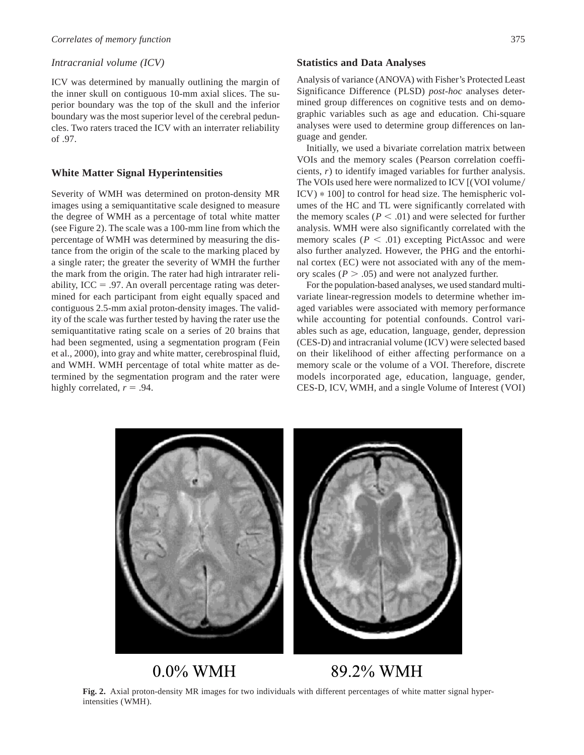# *Intracranial volume (ICV)*

ICV was determined by manually outlining the margin of the inner skull on contiguous 10-mm axial slices. The superior boundary was the top of the skull and the inferior boundary was the most superior level of the cerebral peduncles. Two raters traced the ICV with an interrater reliability of .97.

# **White Matter Signal Hyperintensities**

Severity of WMH was determined on proton-density MR images using a semiquantitative scale designed to measure the degree of WMH as a percentage of total white matter (see Figure 2). The scale was a 100-mm line from which the percentage of WMH was determined by measuring the distance from the origin of the scale to the marking placed by a single rater; the greater the severity of WMH the further the mark from the origin. The rater had high intrarater reliability, ICC = .97. An overall percentage rating was determined for each participant from eight equally spaced and contiguous 2.5-mm axial proton-density images. The validity of the scale was further tested by having the rater use the semiquantitative rating scale on a series of 20 brains that had been segmented, using a segmentation program (Fein et al., 2000), into gray and white matter, cerebrospinal fluid, and WMH. WMH percentage of total white matter as determined by the segmentation program and the rater were highly correlated,  $r = .94$ .

## **Statistics and Data Analyses**

Analysis of variance (ANOVA) with Fisher's Protected Least Significance Difference (PLSD) *post-hoc* analyses determined group differences on cognitive tests and on demographic variables such as age and education. Chi-square analyses were used to determine group differences on language and gender.

Initially, we used a bivariate correlation matrix between VOIs and the memory scales (Pearson correlation coefficients, *r*) to identify imaged variables for further analysis. The VOIs used here were normalized to ICV [(VOI volume/ ICV) \* 100] to control for head size. The hemispheric volumes of the HC and TL were significantly correlated with the memory scales ( $P < .01$ ) and were selected for further analysis. WMH were also significantly correlated with the memory scales  $(P < .01)$  excepting PictAssoc and were also further analyzed. However, the PHG and the entorhinal cortex (EC) were not associated with any of the memory scales ( $P > .05$ ) and were not analyzed further.

For the population-based analyses, we used standard multivariate linear-regression models to determine whether imaged variables were associated with memory performance while accounting for potential confounds. Control variables such as age, education, language, gender, depression (CES-D) and intracranial volume (ICV) were selected based on their likelihood of either affecting performance on a memory scale or the volume of a VOI. Therefore, discrete models incorporated age, education, language, gender, CES-D, ICV, WMH, and a single Volume of Interest (VOI)



 $0.0\%$  WMH

89.2% WMH

**Fig. 2.** Axial proton-density MR images for two individuals with different percentages of white matter signal hyperintensities (WMH).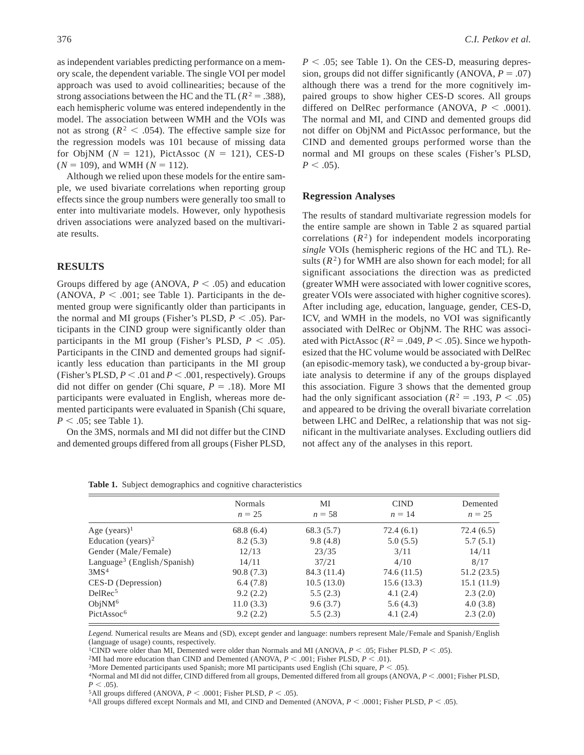as independent variables predicting performance on a memory scale, the dependent variable. The single VOI per model approach was used to avoid collinearities; because of the strong associations between the HC and the TL ( $R^2 = .388$ ), each hemispheric volume was entered independently in the model. The association between WMH and the VOIs was not as strong ( $R^2$  < .054). The effective sample size for the regression models was 101 because of missing data for ObjNM  $(N = 121)$ , PictAssoc  $(N = 121)$ , CES-D  $(N = 109)$ , and WMH  $(N = 112)$ .

Although we relied upon these models for the entire sample, we used bivariate correlations when reporting group effects since the group numbers were generally too small to enter into multivariate models. However, only hypothesis driven associations were analyzed based on the multivariate results.

## **RESULTS**

Groups differed by age (ANOVA,  $P < .05$ ) and education (ANOVA,  $P < .001$ ; see Table 1). Participants in the demented group were significantly older than participants in the normal and MI groups (Fisher's PLSD,  $P < .05$ ). Participants in the CIND group were significantly older than participants in the MI group (Fisher's PLSD,  $P < .05$ ). Participants in the CIND and demented groups had significantly less education than participants in the MI group (Fisher's PLSD,  $P < .01$  and  $P < .001$ , respectively). Groups did not differ on gender (Chi square,  $P = .18$ ). More MI participants were evaluated in English, whereas more demented participants were evaluated in Spanish (Chi square,  $P < .05$ ; see Table 1).

On the 3MS, normals and MI did not differ but the CIND and demented groups differed from all groups (Fisher PLSD,

 $P < .05$ ; see Table 1). On the CES-D, measuring depression, groups did not differ significantly (ANOVA,  $P = .07$ ) although there was a trend for the more cognitively impaired groups to show higher CES-D scores. All groups differed on DelRec performance (ANOVA,  $P < .0001$ ). The normal and MI, and CIND and demented groups did not differ on ObjNM and PictAssoc performance, but the CIND and demented groups performed worse than the normal and MI groups on these scales (Fisher's PLSD,  $P < .05$ ).

#### **Regression Analyses**

The results of standard multivariate regression models for the entire sample are shown in Table 2 as squared partial correlations  $(R^2)$  for independent models incorporating *single* VOIs (hemispheric regions of the HC and TL). Results  $(R^2)$  for WMH are also shown for each model; for all significant associations the direction was as predicted (greater WMH were associated with lower cognitive scores, greater VOIs were associated with higher cognitive scores). After including age, education, language, gender, CES-D, ICV, and WMH in the models, no VOI was significantly associated with DelRec or ObjNM. The RHC was associated with PictAssoc ( $R^2 = .049$ ,  $P < .05$ ). Since we hypothesized that the HC volume would be associated with DelRec (an episodic-memory task), we conducted a by-group bivariate analysis to determine if any of the groups displayed this association. Figure 3 shows that the demented group had the only significant association ( $R^2 = .193, P < .05$ ) and appeared to be driving the overall bivariate correlation between LHC and DelRec, a relationship that was not significant in the multivariate analyses. Excluding outliers did not affect any of the analyses in this report.

|  | <b>Tuble 1:</b> Bubject demographies and cognitive endiacteristics |  |  |
|--|--------------------------------------------------------------------|--|--|
|  |                                                                    |  |  |

**Table 1.** Subject demographics and cognitive characteristics

|                                         | <b>Normals</b> | MI          | <b>CIND</b> | Demented    |  |
|-----------------------------------------|----------------|-------------|-------------|-------------|--|
|                                         | $n = 25$       | $n = 58$    | $n = 14$    | $n = 25$    |  |
| Age (years) <sup>1</sup>                | 68.8 (6.4)     | 68.3 (5.7)  | 72.4(6.1)   | 72.4 (6.5)  |  |
| Education (years) <sup>2</sup>          | 8.2(5.3)       | 9.8(4.8)    | 5.0(5.5)    | 5.7(5.1)    |  |
| Gender (Male/Female)                    | 12/13          | 23/35       | 3/11        | 14/11       |  |
| Language <sup>3</sup> (English/Spanish) | 14/11          | 37/21       | 4/10        | 8/17        |  |
| 3MS <sup>4</sup>                        | 90.8(7.3)      | 84.3 (11.4) | 74.6 (11.5) | 51.2 (23.5) |  |
| CES-D (Depression)                      | 6.4(7.8)       | 10.5(13.0)  | 15.6(13.3)  | 15.1(11.9)  |  |
| DelRec <sup>5</sup>                     | 9.2(2.2)       | 5.5(2.3)    | 4.1(2.4)    | 2.3(2.0)    |  |
| ObjNM <sup>6</sup>                      | 11.0(3.3)      | 9.6(3.7)    | 5.6(4.3)    | 4.0(3.8)    |  |
| PictAssoc <sup>6</sup>                  | 9.2(2.2)       | 5.5(2.3)    | 4.1(2.4)    | 2.3(2.0)    |  |

*Legend.* Numerical results are Means and (SD), except gender and language: numbers represent Male/Female and Spanish/English (language of usage) counts, respectively.

<sup>1</sup>CIND were older than MI, Demented were older than Normals and MI (ANOVA,  $P < .05$ ; Fisher PLSD,  $P < .05$ ).

<sup>2</sup>MI had more education than CIND and Demented (ANOVA,  $P < .001$ ; Fisher PLSD,  $P < .01$ ).

<sup>3</sup>More Demented participants used Spanish; more MI participants used English (Chi square,  $P < .05$ ).

<sup>4</sup>Normal and MI did not differ, CIND differed from all groups, Demented differed from all groups (ANOVA,  $P < .0001$ ; Fisher PLSD,  $P < .05$ ).

<sup>5</sup>All groups differed (ANOVA,  $P < .0001$ ; Fisher PLSD,  $P < .05$ ).

<sup>6</sup>All groups differed except Normals and MI, and CIND and Demented (ANOVA,  $P < .0001$ ; Fisher PLSD,  $P < .05$ ).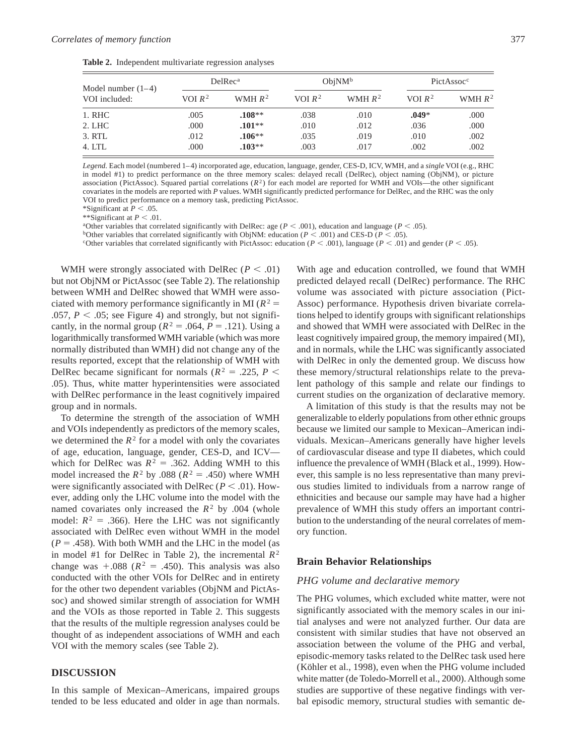| Table 2. Independent multivariate regression analyses |  |  |
|-------------------------------------------------------|--|--|
|                                                       |  |  |

| Model number $(1-4)$ | DelRec <sup>a</sup> |           | ObjNM <sup>b</sup> |           | PictAssoc <sup>c</sup> |           |
|----------------------|---------------------|-----------|--------------------|-----------|------------------------|-----------|
| VOI included:        | VOI $R^2$           | WMH $R^2$ | VOI $R^2$          | WMH $R^2$ | VOI $R^2$              | WMH $R^2$ |
| 1. RHC               | .005                | $.108**$  | .038               | .010      | $.049*$                | .000      |
| 2. LHC               | .000                | $.101**$  | .010               | .012      | .036                   | .000      |
| 3. RTL               | .012                | $.106***$ | .035               | .019      | .010                   | .002      |
| 4. LTL               | .000                | $.103**$  | .003               | .017      | .002                   | .002      |

*Legend.* Each model (numbered 1– 4) incorporated age, education, language, gender, CES-D, ICV, WMH, and a *single* VOI (e.g., RHC in model #1) to predict performance on the three memory scales: delayed recall (DelRec), object naming (ObjNM), or picture association (PictAssoc). Squared partial correlations  $(R^2)$  for each model are reported for WMH and VOIs—the other significant covariates in the models are reported with *P* values. WMH significantly predicted performance for DelRec, and the RHC was the only VOI to predict performance on a memory task, predicting PictAssoc.

\*Significant at  $P < .05$ .

\*\*Significant at  $P < .01$ .

<sup>a</sup>Other variables that correlated significantly with DelRec: age ( $P < .001$ ), education and language ( $P < .05$ ).

bOther variables that correlated significantly with ObjNM: education ( $P < .001$ ) and CES-D ( $P < .05$ ).

<sup>c</sup>Other variables that correlated significantly with PictAssoc: education ( $P < .001$ ), language ( $P < .01$ ) and gender ( $P < .05$ ).

WMH were strongly associated with DelRec ( $P < .01$ ) but not ObjNM or PictAssoc (see Table 2). The relationship between WMH and DelRec showed that WMH were associated with memory performance significantly in MI  $(R^2 =$ .057,  $P < .05$ ; see Figure 4) and strongly, but not significantly, in the normal group ( $R^2 = .064$ ,  $P = .121$ ). Using a logarithmically transformed WMH variable (which was more normally distributed than WMH) did not change any of the results reported, except that the relationship of WMH with DelRec became significant for normals ( $R^2 = .225$ ,  $P <$ .05). Thus, white matter hyperintensities were associated with DelRec performance in the least cognitively impaired group and in normals.

To determine the strength of the association of WMH and VOIs independently as predictors of the memory scales, we determined the  $R^2$  for a model with only the covariates of age, education, language, gender, CES-D, and ICV which for DelRec was  $R^2 = .362$ . Adding WMH to this model increased the  $R^2$  by .088 ( $R^2 = .450$ ) where WMH were significantly associated with DelRec ( $P < .01$ ). However, adding only the LHC volume into the model with the named covariates only increased the  $R^2$  by .004 (whole model:  $R^2 = .366$ ). Here the LHC was not significantly associated with DelRec even without WMH in the model  $(P = .458)$ . With both WMH and the LHC in the model (as in model #1 for DelRec in Table 2), the incremental  $R^2$ change was  $+.088$  ( $R<sup>2</sup> = .450$ ). This analysis was also conducted with the other VOIs for DelRec and in entirety for the other two dependent variables (ObjNM and PictAssoc) and showed similar strength of association for WMH and the VOIs as those reported in Table 2. This suggests that the results of the multiple regression analyses could be thought of as independent associations of WMH and each VOI with the memory scales (see Table 2).

#### **DISCUSSION**

In this sample of Mexican–Americans, impaired groups tended to be less educated and older in age than normals.

With age and education controlled, we found that WMH predicted delayed recall (DelRec) performance. The RHC volume was associated with picture association (Pict-Assoc) performance. Hypothesis driven bivariate correlations helped to identify groups with significant relationships and showed that WMH were associated with DelRec in the least cognitively impaired group, the memory impaired (MI), and in normals, while the LHC was significantly associated with DelRec in only the demented group. We discuss how these memory/structural relationships relate to the prevalent pathology of this sample and relate our findings to current studies on the organization of declarative memory.

A limitation of this study is that the results may not be generalizable to elderly populations from other ethnic groups because we limited our sample to Mexican–American individuals. Mexican–Americans generally have higher levels of cardiovascular disease and type II diabetes, which could influence the prevalence of WMH (Black et al., 1999). However, this sample is no less representative than many previous studies limited to individuals from a narrow range of ethnicities and because our sample may have had a higher prevalence of WMH this study offers an important contribution to the understanding of the neural correlates of memory function.

#### **Brain Behavior Relationships**

#### *PHG volume and declarative memory*

The PHG volumes, which excluded white matter, were not significantly associated with the memory scales in our initial analyses and were not analyzed further. Our data are consistent with similar studies that have not observed an association between the volume of the PHG and verbal, episodic-memory tasks related to the DelRec task used here (Köhler et al., 1998), even when the PHG volume included white matter (de Toledo-Morrell et al., 2000). Although some studies are supportive of these negative findings with verbal episodic memory, structural studies with semantic de-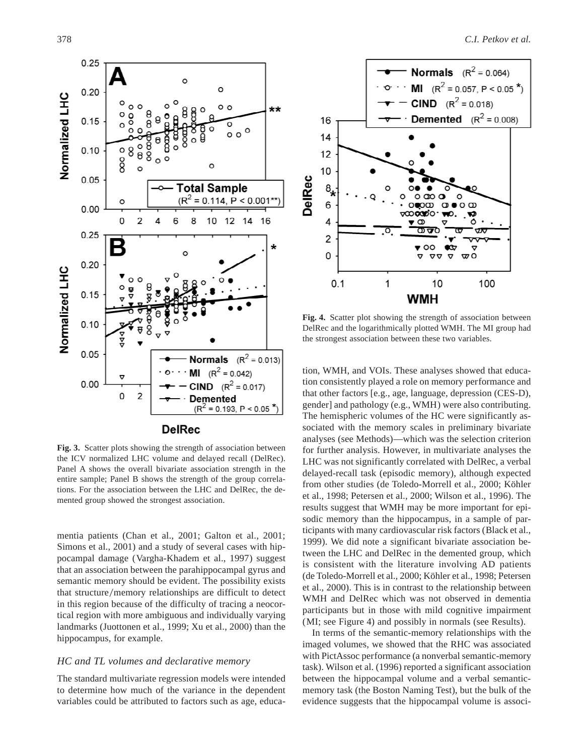

**Fig. 3.** Scatter plots showing the strength of association between the ICV normalized LHC volume and delayed recall (DelRec). Panel A shows the overall bivariate association strength in the entire sample; Panel B shows the strength of the group correlations. For the association between the LHC and DelRec, the demented group showed the strongest association.

mentia patients (Chan et al., 2001; Galton et al., 2001; Simons et al., 2001) and a study of several cases with hippocampal damage (Vargha-Khadem et al., 1997) suggest that an association between the parahippocampal gyrus and semantic memory should be evident. The possibility exists that structure/memory relationships are difficult to detect in this region because of the difficulty of tracing a neocortical region with more ambiguous and individually varying landmarks (Juottonen et al., 1999; Xu et al., 2000) than the hippocampus, for example.

# *HC and TL volumes and declarative memory*

The standard multivariate regression models were intended to determine how much of the variance in the dependent variables could be attributed to factors such as age, educa-



**Fig. 4.** Scatter plot showing the strength of association between DelRec and the logarithmically plotted WMH. The MI group had the strongest association between these two variables.

tion, WMH, and VOIs. These analyses showed that education consistently played a role on memory performance and that other factors [e.g., age, language, depression (CES-D), gender] and pathology (e.g., WMH) were also contributing. The hemispheric volumes of the HC were significantly associated with the memory scales in preliminary bivariate analyses (see Methods)—which was the selection criterion for further analysis. However, in multivariate analyses the LHC was not significantly correlated with DelRec, a verbal delayed-recall task (episodic memory), although expected from other studies (de Toledo-Morrell et al., 2000; Köhler et al., 1998; Petersen et al., 2000; Wilson et al., 1996). The results suggest that WMH may be more important for episodic memory than the hippocampus, in a sample of participants with many cardiovascular risk factors (Black et al., 1999). We did note a significant bivariate association between the LHC and DelRec in the demented group, which is consistent with the literature involving AD patients (de Toledo-Morrell et al., 2000; Köhler et al., 1998; Petersen et al., 2000). This is in contrast to the relationship between WMH and DelRec which was not observed in dementia participants but in those with mild cognitive impairment (MI; see Figure 4) and possibly in normals (see Results).

In terms of the semantic-memory relationships with the imaged volumes, we showed that the RHC was associated with PictAssoc performance (a nonverbal semantic-memory task). Wilson et al. (1996) reported a significant association between the hippocampal volume and a verbal semanticmemory task (the Boston Naming Test), but the bulk of the evidence suggests that the hippocampal volume is associ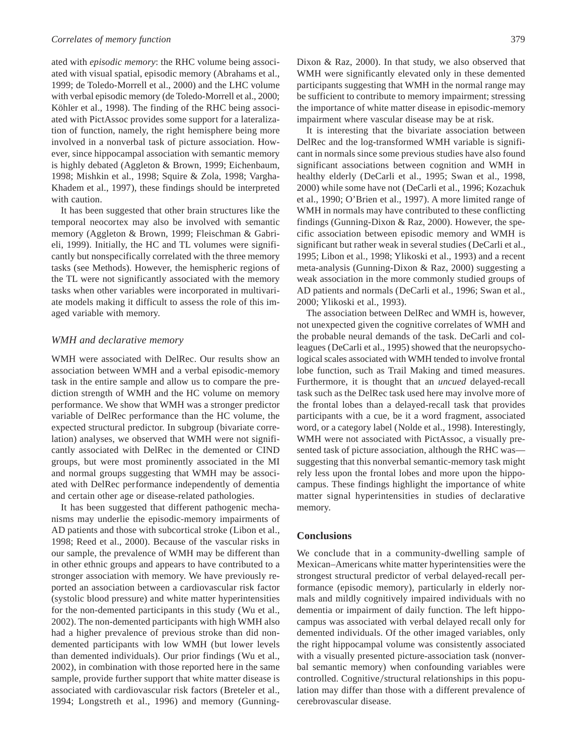ated with *episodic memory*: the RHC volume being associated with visual spatial, episodic memory (Abrahams et al., 1999; de Toledo-Morrell et al., 2000) and the LHC volume with verbal episodic memory (de Toledo-Morrell et al., 2000; Köhler et al., 1998). The finding of the RHC being associated with PictAssoc provides some support for a lateralization of function, namely, the right hemisphere being more involved in a nonverbal task of picture association. However, since hippocampal association with semantic memory is highly debated (Aggleton & Brown, 1999; Eichenbaum, 1998; Mishkin et al., 1998; Squire & Zola, 1998; Vargha-Khadem et al., 1997), these findings should be interpreted with caution.

It has been suggested that other brain structures like the temporal neocortex may also be involved with semantic memory (Aggleton & Brown, 1999; Fleischman & Gabrieli, 1999). Initially, the HC and TL volumes were significantly but nonspecifically correlated with the three memory tasks (see Methods). However, the hemispheric regions of the TL were not significantly associated with the memory tasks when other variables were incorporated in multivariate models making it difficult to assess the role of this imaged variable with memory.

## *WMH and declarative memory*

WMH were associated with DelRec. Our results show an association between WMH and a verbal episodic-memory task in the entire sample and allow us to compare the prediction strength of WMH and the HC volume on memory performance. We show that WMH was a stronger predictor variable of DelRec performance than the HC volume, the expected structural predictor. In subgroup (bivariate correlation) analyses, we observed that WMH were not significantly associated with DelRec in the demented or CIND groups, but were most prominently associated in the MI and normal groups suggesting that WMH may be associated with DelRec performance independently of dementia and certain other age or disease-related pathologies.

It has been suggested that different pathogenic mechanisms may underlie the episodic-memory impairments of AD patients and those with subcortical stroke (Libon et al., 1998; Reed et al., 2000). Because of the vascular risks in our sample, the prevalence of WMH may be different than in other ethnic groups and appears to have contributed to a stronger association with memory. We have previously reported an association between a cardiovascular risk factor (systolic blood pressure) and white matter hyperintensities for the non-demented participants in this study (Wu et al., 2002). The non-demented participants with high WMH also had a higher prevalence of previous stroke than did nondemented participants with low WMH (but lower levels than demented individuals). Our prior findings (Wu et al., 2002), in combination with those reported here in the same sample, provide further support that white matter disease is associated with cardiovascular risk factors (Breteler et al., 1994; Longstreth et al., 1996) and memory (GunningDixon & Raz, 2000). In that study, we also observed that WMH were significantly elevated only in these demented participants suggesting that WMH in the normal range may be sufficient to contribute to memory impairment; stressing the importance of white matter disease in episodic-memory impairment where vascular disease may be at risk.

It is interesting that the bivariate association between DelRec and the log-transformed WMH variable is significant in normals since some previous studies have also found significant associations between cognition and WMH in healthy elderly (DeCarli et al., 1995; Swan et al., 1998, 2000) while some have not (DeCarli et al., 1996; Kozachuk et al., 1990; O'Brien et al., 1997). A more limited range of WMH in normals may have contributed to these conflicting findings (Gunning-Dixon & Raz, 2000). However, the specific association between episodic memory and WMH is significant but rather weak in several studies (DeCarli et al., 1995; Libon et al., 1998; Ylikoski et al., 1993) and a recent meta-analysis (Gunning-Dixon & Raz, 2000) suggesting a weak association in the more commonly studied groups of AD patients and normals (DeCarli et al., 1996; Swan et al., 2000; Ylikoski et al., 1993).

The association between DelRec and WMH is, however, not unexpected given the cognitive correlates of WMH and the probable neural demands of the task. DeCarli and colleagues (DeCarli et al., 1995) showed that the neuropsychological scales associated with WMH tended to involve frontal lobe function, such as Trail Making and timed measures. Furthermore, it is thought that an *uncued* delayed-recall task such as the DelRec task used here may involve more of the frontal lobes than a delayed-recall task that provides participants with a cue, be it a word fragment, associated word, or a category label (Nolde et al., 1998). Interestingly, WMH were not associated with PictAssoc, a visually presented task of picture association, although the RHC was suggesting that this nonverbal semantic-memory task might rely less upon the frontal lobes and more upon the hippocampus. These findings highlight the importance of white matter signal hyperintensities in studies of declarative memory.

### **Conclusions**

We conclude that in a community-dwelling sample of Mexican–Americans white matter hyperintensities were the strongest structural predictor of verbal delayed-recall performance (episodic memory), particularly in elderly normals and mildly cognitively impaired individuals with no dementia or impairment of daily function. The left hippocampus was associated with verbal delayed recall only for demented individuals. Of the other imaged variables, only the right hippocampal volume was consistently associated with a visually presented picture-association task (nonverbal semantic memory) when confounding variables were controlled. Cognitive/structural relationships in this population may differ than those with a different prevalence of cerebrovascular disease.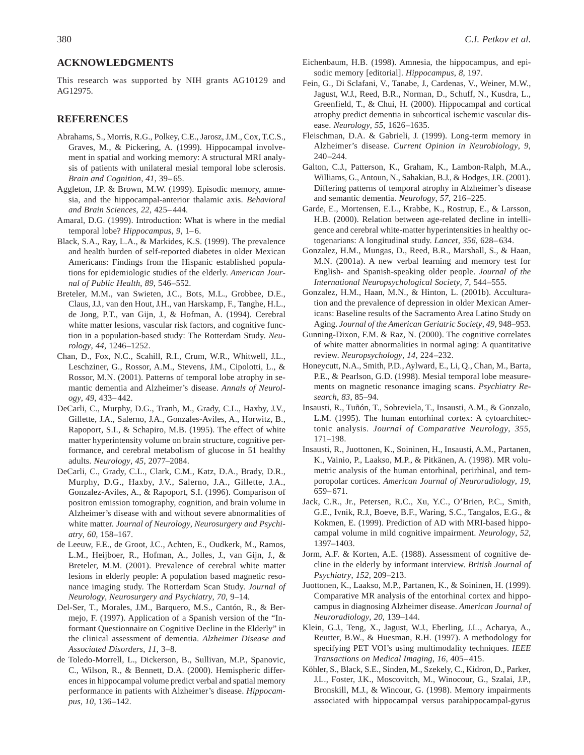### **ACKNOWLEDGMENTS**

This research was supported by NIH grants AG10129 and AG12975.

#### **REFERENCES**

- Abrahams, S., Morris, R.G., Polkey, C.E., Jarosz, J.M., Cox, T.C.S., Graves, M., & Pickering, A. (1999). Hippocampal involvement in spatial and working memory: A structural MRI analysis of patients with unilateral mesial temporal lobe sclerosis. *Brain and Cognition*, *41*, 39–65.
- Aggleton, J.P. & Brown, M.W. (1999). Episodic memory, amnesia, and the hippocampal-anterior thalamic axis. *Behavioral and Brain Sciences*, *22*, 425–444.
- Amaral, D.G. (1999). Introduction: What is where in the medial temporal lobe? *Hippocampus*, 9, 1-6.
- Black, S.A., Ray, L.A., & Markides, K.S. (1999). The prevalence and health burden of self-reported diabetes in older Mexican Americans: Findings from the Hispanic established populations for epidemiologic studies of the elderly. *American Journal of Public Health*, *89*, 546–552.
- Breteler, M.M., van Swieten, J.C., Bots, M.L., Grobbee, D.E., Claus, J.J., van den Hout, J.H., van Harskamp, F., Tanghe, H.L., de Jong, P.T., van Gijn, J., & Hofman, A. (1994). Cerebral white matter lesions, vascular risk factors, and cognitive function in a population-based study: The Rotterdam Study. *Neurology*, *44*, 1246–1252.
- Chan, D., Fox, N.C., Scahill, R.I., Crum, W.R., Whitwell, J.L., Leschziner, G., Rossor, A.M., Stevens, J.M., Cipolotti, L., & Rossor, M.N. (2001). Patterns of temporal lobe atrophy in semantic dementia and Alzheimer's disease. *Annals of Neurology*, *49*, 433–442.
- DeCarli, C., Murphy, D.G., Tranh, M., Grady, C.L., Haxby, J.V., Gillette, J.A., Salerno, J.A., Gonzales-Aviles, A., Horwitz, B., Rapoport, S.I., & Schapiro, M.B. (1995). The effect of white matter hyperintensity volume on brain structure, cognitive performance, and cerebral metabolism of glucose in 51 healthy adults. *Neurology*, *45*, 2077–2084.
- DeCarli, C., Grady, C.L., Clark, C.M., Katz, D.A., Brady, D.R., Murphy, D.G., Haxby, J.V., Salerno, J.A., Gillette, J.A., Gonzalez-Aviles, A., & Rapoport, S.I. (1996). Comparison of positron emission tomography, cognition, and brain volume in Alzheimer's disease with and without severe abnormalities of white matter. *Journal of Neurology, Neurosurgery and Psychiatry*, *60*, 158–167.
- de Leeuw, F.E., de Groot, J.C., Achten, E., Oudkerk, M., Ramos, L.M., Heijboer, R., Hofman, A., Jolles, J., van Gijn, J., & Breteler, M.M. (2001). Prevalence of cerebral white matter lesions in elderly people: A population based magnetic resonance imaging study. The Rotterdam Scan Study. *Journal of Neurology, Neurosurgery and Psychiatry*, *70*, 9–14.
- Del-Ser, T., Morales, J.M., Barquero, M.S., Cantón, R., & Bermejo, F. (1997). Application of a Spanish version of the "Informant Questionnaire on Cognitive Decline in the Elderly" in the clinical assessment of dementia. *Alzheimer Disease and Associated Disorders*, *11*, 3–8.
- de Toledo-Morrell, L., Dickerson, B., Sullivan, M.P., Spanovic, C., Wilson, R., & Bennett, D.A. (2000). Hemispheric differences in hippocampal volume predict verbal and spatial memory performance in patients with Alzheimer's disease. *Hippocampus*, *10*, 136–142.
- Eichenbaum, H.B. (1998). Amnesia, the hippocampus, and episodic memory [editorial]. *Hippocampus*, *8*, 197.
- Fein, G., Di Sclafani, V., Tanabe, J., Cardenas, V., Weiner, M.W., Jagust, W.J., Reed, B.R., Norman, D., Schuff, N., Kusdra, L., Greenfield, T., & Chui, H. (2000). Hippocampal and cortical atrophy predict dementia in subcortical ischemic vascular disease. *Neurology*, *55*, 1626–1635.
- Fleischman, D.A. & Gabrieli, J. (1999). Long-term memory in Alzheimer's disease. *Current Opinion in Neurobiology*, *9*,  $240 - 244$ .
- Galton, C.J., Patterson, K., Graham, K., Lambon-Ralph, M.A., Williams, G., Antoun, N., Sahakian, B.J., & Hodges, J.R. (2001). Differing patterns of temporal atrophy in Alzheimer's disease and semantic dementia. *Neurology*, *57*, 216–225.
- Garde, E., Mortensen, E.L., Krabbe, K., Rostrup, E., & Larsson, H.B. (2000). Relation between age-related decline in intelligence and cerebral white-matter hyperintensities in healthy octogenarians: A longitudinal study. *Lancet, 356*, 628–634.
- Gonzalez, H.M., Mungas, D., Reed, B.R., Marshall, S., & Haan, M.N. (2001a). A new verbal learning and memory test for English- and Spanish-speaking older people. *Journal of the International Neuropsychological Society*, *7*, 544–555.
- Gonzalez, H.M., Haan, M.N., & Hinton, L. (2001b). Acculturation and the prevalence of depression in older Mexican Americans: Baseline results of the Sacramento Area Latino Study on Aging. *Journal of the American Geriatric Society*, *49*, 948–953.
- Gunning-Dixon, F.M. & Raz, N. (2000). The cognitive correlates of white matter abnormalities in normal aging: A quantitative review. *Neuropsychology*, *14*, 224–232.
- Honeycutt, N.A., Smith, P.D., Aylward, E., Li, Q., Chan, M., Barta, P.E., & Pearlson, G.D. (1998). Mesial temporal lobe measurements on magnetic resonance imaging scans. *Psychiatry Research*, *83*, 85–94.
- Insausti, R., Tuñón, T., Sobreviela, T., Insausti, A.M., & Gonzalo, L.M. (1995). The human entorhinal cortex: A cytoarchitectonic analysis. *Journal of Comparative Neurology*, *355*, 171–198.
- Insausti, R., Juottonen, K., Soininen, H., Insausti, A.M., Partanen, K., Vainio, P., Laakso, M.P., & Pitkänen, A. (1998). MR volumetric analysis of the human entorhinal, perirhinal, and temporopolar cortices. *American Journal of Neuroradiology*, *19*, 659–671.
- Jack, C.R., Jr., Petersen, R.C., Xu, Y.C., O'Brien, P.C., Smith, G.E., Ivnik, R.J., Boeve, B.F., Waring, S.C., Tangalos, E.G., & Kokmen, E. (1999). Prediction of AD with MRI-based hippocampal volume in mild cognitive impairment. *Neurology*, *52*, 1397–1403.
- Jorm, A.F. & Korten, A.E. (1988). Assessment of cognitive decline in the elderly by informant interview. *British Journal of Psychiatry*, *152*, 209–213.
- Juottonen, K., Laakso, M.P., Partanen, K., & Soininen, H. (1999). Comparative MR analysis of the entorhinal cortex and hippocampus in diagnosing Alzheimer disease. *American Journal of Neuroradiology*, *20*, 139–144.
- Klein, G.J., Teng, X., Jagust, W.J., Eberling, J.L., Acharya, A., Reutter, B.W., & Huesman, R.H. (1997). A methodology for specifying PET VOI's using multimodality techniques. *IEEE Transactions on Medical Imaging*, *16*, 405–415.
- Köhler, S., Black, S.E., Sinden, M., Szekely, C., Kidron, D., Parker, J.L., Foster, J.K., Moscovitch, M., Winocour, G., Szalai, J.P., Bronskill, M.J., & Wincour, G. (1998). Memory impairments associated with hippocampal versus parahippocampal-gyrus